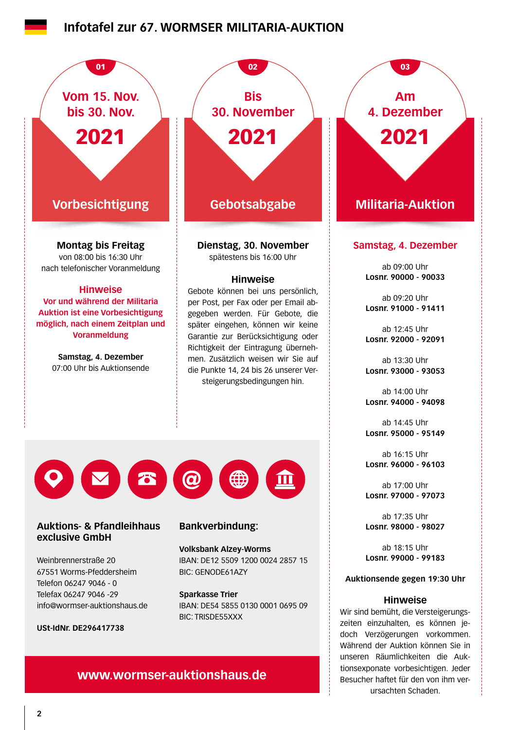## **Infotafel zur 67. WORMSER MILITARIA-AUKTION**



## **www.wormser-auktionshaus.de**

tionsexponate vorbesichtigen. Jeder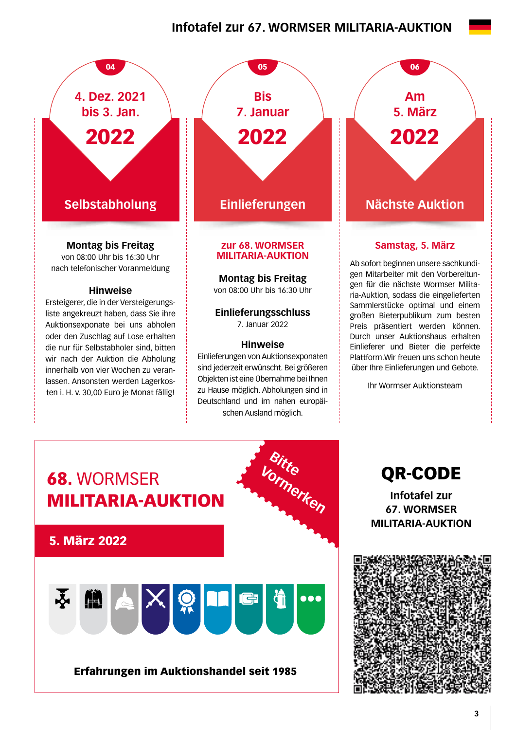# **Infotafel zur 67. WORMSER MILITARIA-AUKTION**



**Montag bis Freitag**

von 08:00 Uhr bis 16:30 Uhr nach telefonischer Voranmeldung

#### **Hinweise**

Ersteigerer, die in der Versteigerungsliste angekreuzt haben, dass Sie ihre Auktionsexponate bei uns abholen oder den Zuschlag auf Lose erhalten die nur für Selbstabholer sind, bitten wir nach der Auktion die Abholung innerhalb von vier Wochen zu veranlassen. Ansonsten werden Lagerkosten i. H. v. 30,00 Euro je Monat fällig!



#### **zur 68. WORMSER MILITARIA-AUKTION**

**Montag bis Freitag** 

von 08:00 Uhr bis 16:30 Uhr

**Einlieferungsschluss**  7. Januar 2022

## **Hinweise**

Einlieferungen von Auktionsexponaten sind jederzeit erwünscht. Bei größeren Objekten ist eine Übernahme bei Ihnen zu Hause möglich. Abholungen sind in Deutschland und im nahen europäischen Ausland möglich.

**Am 5. März**  2022

## **Samstag, 5. März**

Ab sofort beginnen unsere sachkundigen Mitarbeiter mit den Vorbereitungen für die nächste Wormser Militaria-Auktion, sodass die eingelieferten Sammlerstücke optimal und einem großen Bieterpublikum zum besten Preis präsentiert werden können. Durch unser Auktionshaus erhalten Einlieferer und Bieter die perfekte Plattform.Wir freuen uns schon heute über Ihre Einlieferungen und Gebote.

Ihr Wormser Auktionsteam



QR-CODE

**Infotafel zur 67. WORMSER MILITARIA-AUKTION**

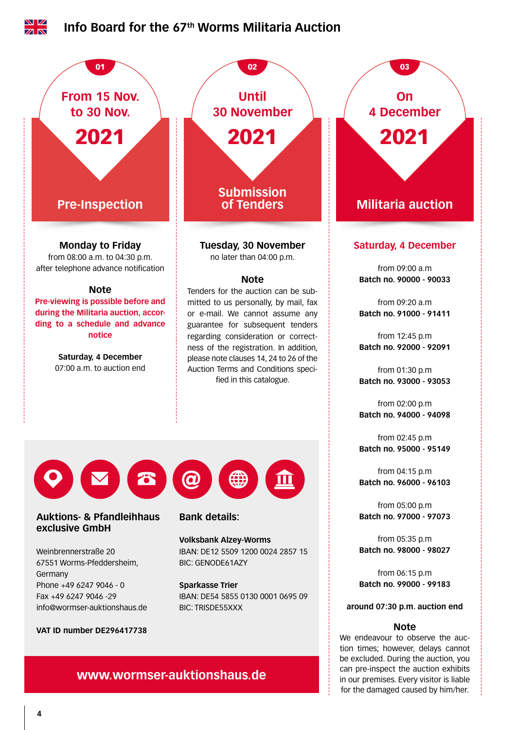

in our premises. Every visitor is liable for the damaged caused by him/her.

**www.wormser-auktionshaus.de**